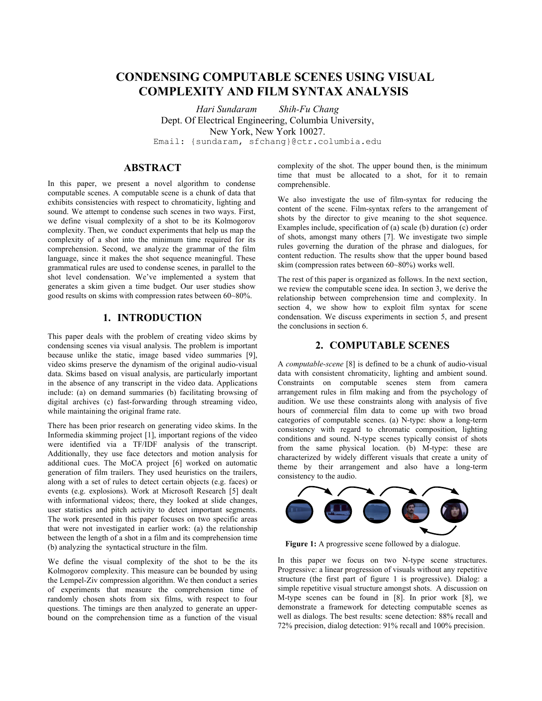# **CONDENSING COMPUTABLE SCENES USING VISUAL COMPLEXITY AND FILM SYNTAX ANALYSIS**

*Hari Sundaram Shih-Fu Chang*  Dept. Of Electrical Engineering, Columbia University, New York, New York 10027. Email: {sundaram, sfchang}@ctr.columbia.edu

# **ABSTRACT**

In this paper, we present a novel algorithm to condense computable scenes. A computable scene is a chunk of data that exhibits consistencies with respect to chromaticity, lighting and sound. We attempt to condense such scenes in two ways. First, we define visual complexity of a shot to be its Kolmogorov complexity. Then, we conduct experiments that help us map the complexity of a shot into the minimum time required for its comprehension. Second, we analyze the grammar of the film language, since it makes the shot sequence meaningful. These grammatical rules are used to condense scenes, in parallel to the shot level condensation. We've implemented a system that generates a skim given a time budget. Our user studies show good results on skims with compression rates between 60~80%.

# **1. INTRODUCTION**

This paper deals with the problem of creating video skims by condensing scenes via visual analysis. The problem is important because unlike the static, image based video summaries [9], video skims preserve the dynamism of the original audio-visual data. Skims based on visual analysis, are particularly important in the absence of any transcript in the video data. Applications include: (a) on demand summaries (b) facilitating browsing of digital archives (c) fast-forwarding through streaming video, while maintaining the original frame rate.

There has been prior research on generating video skims. In the Informedia skimming project [1], important regions of the video were identified via a TF/IDF analysis of the transcript. Additionally, they use face detectors and motion analysis for additional cues. The MoCA project [6] worked on automatic generation of film trailers. They used heuristics on the trailers, along with a set of rules to detect certain objects (e.g. faces) or events (e.g. explosions). Work at Microsoft Research [5] dealt with informational videos; there, they looked at slide changes, user statistics and pitch activity to detect important segments. The work presented in this paper focuses on two specific areas that were not investigated in earlier work: (a) the relationship between the length of a shot in a film and its comprehension time (b) analyzing the syntactical structure in the film.

We define the visual complexity of the shot to be the its Kolmogorov complexity. This measure can be bounded by using the Lempel-Ziv compression algorithm. We then conduct a series of experiments that measure the comprehension time of randomly chosen shots from six films, with respect to four questions. The timings are then analyzed to generate an upperbound on the comprehension time as a function of the visual

complexity of the shot. The upper bound then, is the minimum time that must be allocated to a shot, for it to remain comprehensible.

We also investigate the use of film-syntax for reducing the content of the scene. Film-syntax refers to the arrangement of shots by the director to give meaning to the shot sequence. Examples include, specification of (a) scale (b) duration (c) order of shots, amongst many others [7]. We investigate two simple rules governing the duration of the phrase and dialogues, for content reduction. The results show that the upper bound based skim (compression rates between 60~80%) works well.

The rest of this paper is organized as follows. In the next section, we review the computable scene idea. In section 3, we derive the relationship between comprehension time and complexity. In section 4, we show how to exploit film syntax for scene condensation. We discuss experiments in section 5, and present the conclusions in section 6.

## **2. COMPUTABLE SCENES**

A *computable-scene* [8] is defined to be a chunk of audio-visual data with consistent chromaticity, lighting and ambient sound. Constraints on computable scenes stem from camera arrangement rules in film making and from the psychology of audition. We use these constraints along with analysis of five hours of commercial film data to come up with two broad categories of computable scenes. (a) N-type: show a long-term consistency with regard to chromatic composition, lighting conditions and sound. N-type scenes typically consist of shots from the same physical location. (b) M-type: these are characterized by widely different visuals that create a unity of theme by their arrangement and also have a long-term consistency to the audio.



**Figure 1:** A progressive scene followed by a dialogue.

In this paper we focus on two N-type scene structures. Progressive: a linear progression of visuals without any repetitive structure (the first part of figure 1 is progressive). Dialog: a simple repetitive visual structure amongst shots. A discussion on M-type scenes can be found in [8]. In prior work [8], we demonstrate a framework for detecting computable scenes as well as dialogs. The best results: scene detection: 88% recall and 72% precision, dialog detection: 91% recall and 100% precision.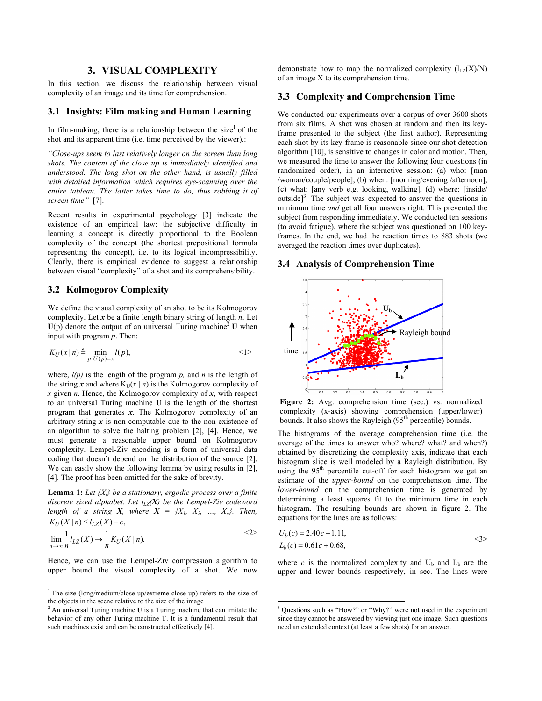### **3. VISUAL COMPLEXITY**

In this section, we discuss the relationship between visual complexity of an image and its time for comprehension.

### **3.1 Insights: Film making and Human Learning**

In film-making, there is a relationship between the size<sup>1</sup> of the shot and its apparent time (i.e. time perceived by the viewer).:

*ìClose-ups seem to last relatively longer on the screen than long shots. The content of the close up is immediately identified and understood. The long shot on the other hand, is usually filled with detailed information which requires eye-scanning over the entire tableau. The latter takes time to do, thus robbing it of screen time*" [7].

Recent results in experimental psychology [3] indicate the existence of an empirical law: the subjective difficulty in learning a concept is directly proportional to the Boolean complexity of the concept (the shortest prepositional formula representing the concept), i.e. to its logical incompressibility. Clearly, there is empirical evidence to suggest a relationship between visual "complexity" of a shot and its comprehensibility.

#### **3.2 Kolmogorov Complexity**

We define the visual complexity of an shot to be its Kolmogorov complexity. Let *x* be a finite length binary string of length *n*. Let  $U(p)$  denote the output of an universal Turing machine<sup>2</sup> U when input with program *p*. Then:

$$
K_U(x \mid n) \triangleq \min_{p: U(p) = x} l(p),
$$
  $\langle 1 \rangle$ 

where,  $l(p)$  is the length of the program  $p$ , and  $n$  is the length of the string *x* and where  $K_U(x | n)$  is the Kolmogorov complexity of *x* given *n*. Hence, the Kolmogorov complexity of *x*, with respect to an universal Turing machine **U** is the length of the shortest program that generates *x*. The Kolmogorov complexity of an arbitrary string  $x$  is non-computable due to the non-existence of an algorithm to solve the halting problem [2], [4]. Hence, we must generate a reasonable upper bound on Kolmogorov complexity. Lempel-Ziv encoding is a form of universal data coding that doesn't depend on the distribution of the source [2]. We can easily show the following lemma by using results in [2], [4]. The proof has been omitted for the sake of brevity.

**Lemma 1:** *Let {Xi} be a stationary, ergodic process over a finite discrete sized alphabet. Let*  $l_{LZ}(X)$  *be the Lempel-Ziv codeword length of a string X, where*  $X = \{X_1, X_2, \ldots, X_n\}$ . Then,  $K_U(X | n) \leq l_{LZ}(X) + c,$ 

$$
\lim_{n \to \infty} \frac{1}{n} l_{LZ}(X) \to \frac{1}{n} K_U(X \mid n).
$$

Hence, we can use the Lempel-Ziv compression algorithm to upper bound the visual complexity of a shot. We now

-

demonstrate how to map the normalized complexity  $(l_{LZ}(X)/N)$ of an image X to its comprehension time.

### **3.3 Complexity and Comprehension Time**

We conducted our experiments over a corpus of over 3600 shots from six films. A shot was chosen at random and then its keyframe presented to the subject (the first author). Representing each shot by its key-frame is reasonable since our shot detection algorithm [10], is sensitive to changes in color and motion. Then, we measured the time to answer the following four questions (in randomized order), in an interactive session: (a) who: [man /woman/couple/people], (b) when: [morning/evening /afternoon], (c) what: [any verb e.g. looking, walking], (d) where: [inside/ outside]<sup>3</sup>. The subject was expected to answer the questions in minimum time *and* get all four answers right. This prevented the subject from responding immediately. We conducted ten sessions (to avoid fatigue), where the subject was questioned on 100 keyframes. In the end, we had the reaction times to 883 shots (we averaged the reaction times over duplicates).

#### **3.4 Analysis of Comprehension Time**



**Figure 2:** Avg. comprehension time (sec.) vs. normalized complexity (x-axis) showing comprehension (upper/lower) bounds. It also shows the Rayleigh  $(95<sup>th</sup>$  percentile) bounds.

The histograms of the average comprehension time (i.e. the average of the times to answer who? where? what? and when?) obtained by discretizing the complexity axis, indicate that each histogram slice is well modeled by a Rayleigh distribution. By using the  $95<sup>th</sup>$  percentile cut-off for each histogram we get an estimate of the *upper-bound* on the comprehension time. The *lower-bound* on the comprehension time is generated by determining a least squares fit to the minimum time in each histogram. The resulting bounds are shown in figure 2. The equations for the lines are as follows:

$$
U_b(c) = 2.40c + 1.11,
$$
  
\n
$$
L_b(c) = 0.61c + 0.68,
$$

where *c* is the normalized complexity and  $U_b$  and  $L_b$  are the upper and lower bounds respectively, in sec. The lines were

-

<sup>&</sup>lt;sup>1</sup> The size (long/medium/close-up/extreme close-up) refers to the size of the objects in the scene relative to the size of the image

<sup>2</sup> An universal Turing machine **U** is a Turing machine that can imitate the behavior of any other Turing machine **T**. It is a fundamental result that such machines exist and can be constructed effectively [4].

 $3$  Questions such as "How?" or "Why?" were not used in the experiment since they cannot be answered by viewing just one image. Such questions need an extended context (at least a few shots) for an answer.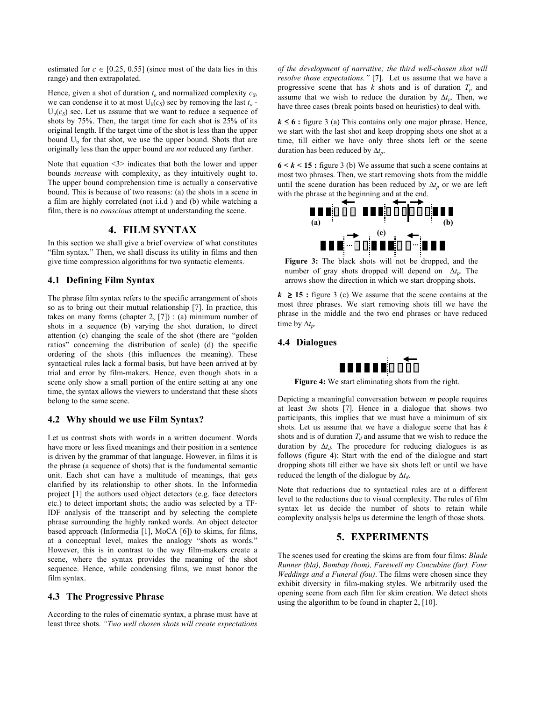estimated for  $c \in [0.25, 0.55]$  (since most of the data lies in this range) and then extrapolated.

Hence, given a shot of duration  $t<sub>o</sub>$  and normalized complexity  $c<sub>S</sub>$ , we can condense it to at most  $U_b(c_s)$  sec by removing the last  $t_o$  - $U<sub>b</sub>(c<sub>S</sub>)$  sec. Let us assume that we want to reduce a sequence of shots by 75%. Then, the target time for each shot is 25% of its original length. If the target time of the shot is less than the upper bound  $U<sub>b</sub>$  for that shot, we use the upper bound. Shots that are originally less than the upper bound are *not* reduced any further.

Note that equation  $\leq$  indicates that both the lower and upper bounds *increase* with complexity, as they intuitively ought to. The upper bound comprehension time is actually a conservative bound. This is because of two reasons: (a) the shots in a scene in a film are highly correlated (not i.i.d ) and (b) while watching a film, there is no *conscious* attempt at understanding the scene.

# **4. FILM SYNTAX**

In this section we shall give a brief overview of what constitutes "film syntax." Then, we shall discuss its utility in films and then give time compression algorithms for two syntactic elements.

### **4.1 Defining Film Syntax**

The phrase film syntax refers to the specific arrangement of shots so as to bring out their mutual relationship [7]. In practice, this takes on many forms (chapter 2,  $[7]$ ) : (a) minimum number of shots in a sequence (b) varying the shot duration, to direct attention (c) changing the scale of the shot (there are "golden ratios" concerning the distribution of scale) (d) the specific ordering of the shots (this influences the meaning). These syntactical rules lack a formal basis, but have been arrived at by trial and error by film-makers. Hence, even though shots in a scene only show a small portion of the entire setting at any one time, the syntax allows the viewers to understand that these shots belong to the same scene.

#### **4.2 Why should we use Film Syntax?**

Let us contrast shots with words in a written document. Words have more or less fixed meanings and their position in a sentence is driven by the grammar of that language. However, in films it is the phrase (a sequence of shots) that is the fundamental semantic unit. Each shot can have a multitude of meanings, that gets clarified by its relationship to other shots. In the Informedia project [1] the authors used object detectors (e.g. face detectors etc.) to detect important shots; the audio was selected by a TF-IDF analysis of the transcript and by selecting the complete phrase surrounding the highly ranked words. An object detector based approach (Informedia [1], MoCA [6]) to skims, for films, at a conceptual level, makes the analogy "shots as words." However, this is in contrast to the way film-makers create a scene, where the syntax provides the meaning of the shot sequence. Hence, while condensing films, we must honor the film syntax.

#### **4.3 The Progressive Phrase**

According to the rules of cinematic syntax, a phrase must have at least three shots. *ìTwo well chosen shots will create expectations*  *of the development of narrative; the third well-chosen shot will resolve those expectations.*" [7]. Let us assume that we have a progressive scene that has  $k$  shots and is of duration  $T_p$  and assume that we wish to reduce the duration by  $\Delta t_p$ . Then, we have three cases (break points based on heuristics) to deal with.

 $k \leq 6$ : figure 3 (a) This contains only one major phrase. Hence, we start with the last shot and keep dropping shots one shot at a time, till either we have only three shots left or the scene duration has been reduced by ∆*tp*.

 $6 < k < 15$ : figure 3 (b) We assume that such a scene contains at most two phrases. Then, we start removing shots from the middle until the scene duration has been reduced by  $\Delta t_p$  or we are left with the phrase at the beginning and at the end.



**Figure 3:** The black shots will not be dropped, and the number of gray shots dropped will depend on ∆*tp*. The arrows show the direction in which we start dropping shots.

 $k \ge 15$ : figure 3 (c) We assume that the scene contains at the most three phrases. We start removing shots till we have the phrase in the middle and the two end phrases or have reduced time by  $\Delta t_p$ .

#### **4.4 Dialogues**



**Figure 4:** We start eliminating shots from the right.

Depicting a meaningful conversation between *m* people requires at least *3m* shots [7]. Hence in a dialogue that shows two participants, this implies that we must have a minimum of six shots. Let us assume that we have a dialogue scene that has *k* shots and is of duration  $T_d$  and assume that we wish to reduce the duration by  $\Delta t_d$ . The procedure for reducing dialogues is as follows (figure 4): Start with the end of the dialogue and start dropping shots till either we have six shots left or until we have reduced the length of the dialogue by ∆*td*.

Note that reductions due to syntactical rules are at a different level to the reductions due to visual complexity. The rules of film syntax let us decide the number of shots to retain while complexity analysis helps us determine the length of those shots.

### **5. EXPERIMENTS**

The scenes used for creating the skims are from four films: *Blade Runner (bla), Bombay (bom), Farewell my Concubine (far), Four Weddings and a Funeral (fou)*. The films were chosen since they exhibit diversity in film-making styles. We arbitrarily used the opening scene from each film for skim creation. We detect shots using the algorithm to be found in chapter 2, [10].